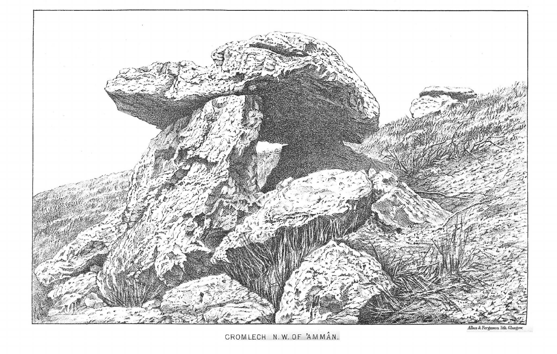

CROMLECH N.W. OF 'AMMÂN.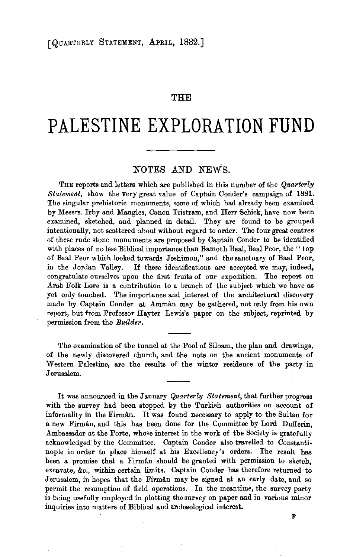### **THE**

# **PALESTINE EXPLORATION FUND**

## NOTES AND NEWS.

THE reports and letters which are published in this number of the *Quarterly Statement,* show the very great value of Captain Conder's campaign of 1881. The singular prehistoric monuments, some of which had already been examined by Messrs. Irby and Mangles, Canon Tristram, and Herr Schick, have now been examined, sketched, and planned in detail. They are found to be grouped intentionally, not scattered about without regard to order. The four great centres of these rude stone monuments are proposed by Captain Conder to be identified with places of no less Biblical importance than Bamoth Baal, Baal Peor, the " top of Baal Peor which looked towards Jeshimon," and the sanctuary of Baal Pear, in the Jordan Valley. If these identifications are accepted we may, indeed, in the Jordan Valley. If these identifications are accepted we may, indeed, congratulate ourselves upon the first fruits of our expedition. The report on Arab Folk Lore is a contribution to a branch of the subject which we have as yet only touched. The importance and interest of the architectural discovery made by Captain Conder at Amman may be gathered, not only from his own report, but from Professor Hayter Lewis's paper on the subject, reprinted by permission from the *Builder.* 

The examination of the tunnel at the Pool of Siloam, the plan and drawings, of the newly discovered church, and the note on the ancient monuments of Western Palestine, are the results of the winter residence of the party in Jerusalem.

It was announced in the January *Quarterly Statement,* that further progress with the survey had been stopped by the Turkish authorities on account of informality in the Firman. It was found necessary to apply to the Sultan for a new Firman, and this has been done for the Committee by Lord Dufferin, Ambassador at the Porte, whose interest in the work of the Society is gratefully acknowledged by the Committee. Captain Conder also travelled to Constanti· nople in order to place himself at his Excellency's orders. The result has been a promise that a Firman should be granted with permission to sketch, excavate, &c., within certain limits. Captain Conder has therefore returned to Jerusalem, in hopes that the Firman may be signed at an early date, and so permit the resumption of field operations. In the meantime, the survey party is being usefully employed in plotting the survey on paper and in various minor inquiries into matters of Biblical and archaeological interest.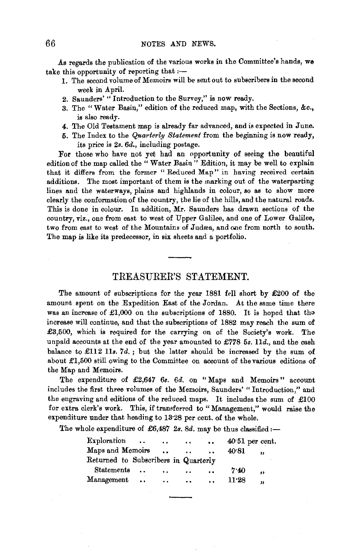As regards the publication of the various works in the Committee's hands, we take this opportunity of reporting that  $:$ --

- 1. The second volume of Memoirs will be sent out to subscribers in the second week in April.
- 2. Saunders' " Introduction to the Survey," is now ready.
- 3. The " Water Basin," edition of the reduced map, with the Sections, &c., is also ready.
- 4. The Old Testament map is already far advanced, and is expected in June.
- 5. The Index to the *Quarterly Statement* from the beginning is now ready, its price is *2s. 6d.,* including postage.

For those who have not yet had an opportunity of seeing the beautiful edition of the map called the " Water Basin" Edition, it may be well to explain that it differs from the former "Reduced Map" in having received certain additions. The most important of them is the marking out of the waterparting lines and the waterways, plains and highlands in colour, so as to show more clearly the conformation of the country, the lie of the hills, and the natural roads. This is done in colour. In addition, Mr. Saunders has drawn sections of the country, viz., one from east to west of Upper Galilee, and one of Lower Galilee, two from east to west of the Mountains of Judæa, and one from north to south. The map is like its predecessor, in six sheets and a portfolio.

### TREASURER'S STATEMENT.

The amount of subscriptions for the year 1881 fell short by £200 of the amount spent on the Expedition East of the Jordan. At the same time there was an increase of £1,000 on the subscriptions of 1880. It is hoped that the increase will continue, and that the subscriptions of 1882 may reach the sum of £3,500, which is required for the carrying on of the Society's work. The unpaid accounts at the end of the year amounted to *£778 5s.* lld., and the cash balance to £112 lls. *7d.;* but the latter should be increased by the sum of about £1,500 still owing to the Committee on account of the various editions of the Map and Memoirs.

The expenditure of £2,647 6s. 6d. on "Maps and Memoirs" account includes the first three volumes of the Memoirs, Saunders' "Introduction," and the engraving and editions of the reduced maps. It includes the sum of £100 for extra clerk's work. This, if transferred to" Management," would raise the expenditure under that heading to 13·28 per cent. of the whole.

The whole expenditure of  $£6,487$  2s. 8d. may be thus classified :-

| Exploration                          | $\cdot \cdot$        | $\ddot{\phantom{a}}$ | $\cdots$             | $\bullet$            | $40.51$ per cent. |           |
|--------------------------------------|----------------------|----------------------|----------------------|----------------------|-------------------|-----------|
| Maps and Memoirs                     |                      | $\ddot{\phantom{a}}$ | $\ddot{\phantom{0}}$ | $\ddot{\phantom{a}}$ | 40.81             | ,,        |
| Returned to Subscribers in Quarterly |                      |                      |                      |                      |                   |           |
| Statements                           |                      | $\ddot{\phantom{a}}$ | $\ddot{\phantom{a}}$ | $\cdot$ .            | 7.40              | $\bullet$ |
| Management                           | $\ddot{\phantom{a}}$ | $\ddot{\phantom{a}}$ | $\ddot{\phantom{a}}$ | $\ddot{\phantom{a}}$ | 11.28             | ,,        |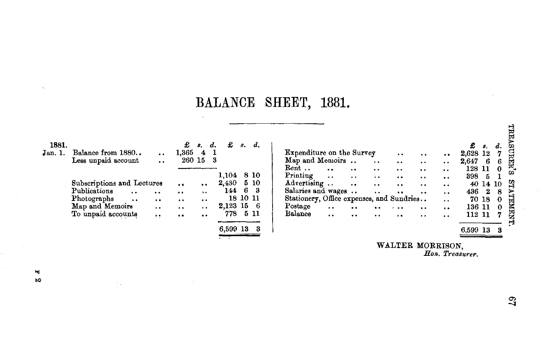## **BALANCE SHEET, 1881.**

| 1881.<br>Jan. 1. | Balance from 1880<br>Less unpaid account | $\ddot{\phantom{1}}$ | £<br>$1,365 \quad 4$<br>260 15 | $s$ .                | $d_{\cdot}$<br>- 1<br>- 3 | £          | s.    | d.   |
|------------------|------------------------------------------|----------------------|--------------------------------|----------------------|---------------------------|------------|-------|------|
|                  |                                          |                      |                                |                      |                           | 1,104      |       | 8 10 |
|                  | Subscriptions and Lectures               |                      |                                | $\ddot{\phantom{0}}$ |                           | 2,430 5 10 |       |      |
|                  | Publications<br>$\ddot{\phantom{0}}$     | $\cdot$              |                                | $\ddot{\phantom{0}}$ |                           | 144        | 6     | - 3  |
|                  | Photographs                              | $\ddot{\phantom{0}}$ | $\ddot{\phantom{0}}$           | $\cdot$ .            |                           |            | 18 10 | -11  |
|                  | Map and Memoirs                          | . .                  | $\ddot{\phantom{0}}$           | $\ddot{\phantom{0}}$ |                           | 2,123 15   |       | - 6  |
|                  | To unpaid accounts                       | ,,                   | ۰.                             | $\bullet$            |                           | 778        |       | 511  |
|                  |                                          |                      |                                |                      |                           | 6,599 13   |       | - 3  |

 $\sim$  .

|                                           |           |                      |                      |                      |                      |          | 8.    | d.       |
|-------------------------------------------|-----------|----------------------|----------------------|----------------------|----------------------|----------|-------|----------|
| Expenditure on the Survey                 |           |                      |                      | $\cdot$              |                      | 2,628 12 |       | 7        |
| Map and Memoirs                           |           |                      | $\cdot$ .            | $\ddot{\phantom{a}}$ | . .                  | 2.647    | - 6   | 6        |
| Rent                                      |           |                      | . .                  | $\ddot{\phantom{a}}$ |                      | 128      | -11   | $\bf{0}$ |
| Printing                                  |           | $\ddot{\phantom{0}}$ |                      |                      |                      | 398      | 5     |          |
| Advertising                               |           | $\ddot{\phantom{0}}$ | $\ddot{\phantom{0}}$ | . .                  |                      |          | 40 14 | 10       |
| Salaries and wages                        |           |                      |                      |                      |                      | 436      | 2     | 8        |
| Stationery, Office expenses, and Sundries |           |                      |                      |                      | . .                  |          | 70 18 | 0        |
| Postage                                   | $\cdot$ . | $\ddot{\phantom{0}}$ |                      |                      | $\ddot{\phantom{a}}$ | 136 11   |       | 0        |
| Balance                                   |           |                      |                      |                      |                      | 112 11   |       | 7        |
|                                           |           |                      |                      |                      |                      |          |       |          |
|                                           |           |                      |                      |                      |                      | 6,599    |       | 3        |
|                                           |           |                      |                      |                      |                      |          |       |          |

WALTER MORRISON *Hon. Treasurer .* 

 $\mathbb{S}^1$ 

....,